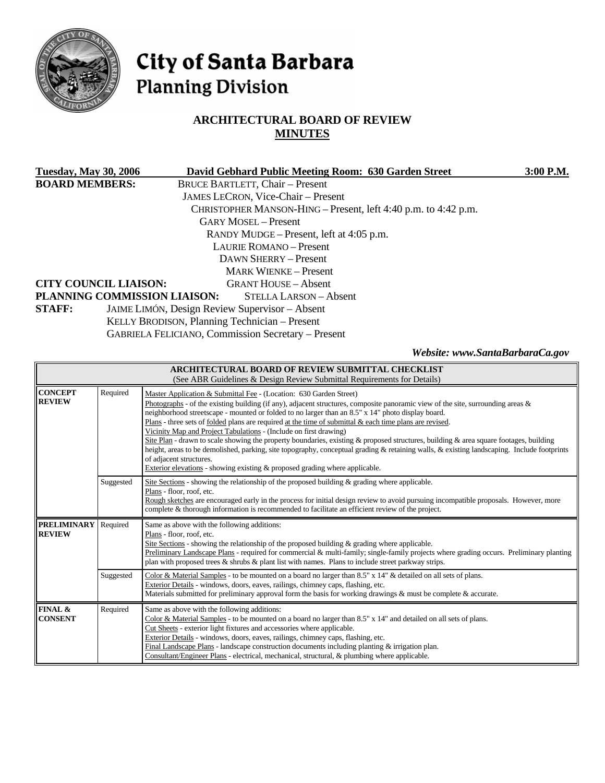

# City of Santa Barbara **Planning Division**

# **ARCHITECTURAL BOARD OF REVIEW MINUTES**

| <b>Tuesday, May 30, 2006</b> | David Gebhard Public Meeting Room: 630 Garden Street           | 3:00 P.M. |
|------------------------------|----------------------------------------------------------------|-----------|
| <b>BOARD MEMBERS:</b>        | <b>BRUCE BARTLETT, Chair - Present</b>                         |           |
|                              | <b>JAMES LECRON, Vice-Chair – Present</b>                      |           |
|                              | CHRISTOPHER MANSON-HING – Present, left 4:40 p.m. to 4:42 p.m. |           |
|                              | <b>GARY MOSEL – Present</b>                                    |           |
|                              | RANDY MUDGE – Present, left at 4:05 p.m.                       |           |
|                              | <b>LAURIE ROMANO</b> – Present                                 |           |
|                              | DAWN SHERRY – Present                                          |           |
|                              | <b>MARK WIENKE – Present</b>                                   |           |
| <b>CITY COUNCIL LIAISON:</b> | <b>GRANT HOUSE – Absent</b>                                    |           |
|                              | PLANNING COMMISSION LIAISON:<br>STELLA LARSON - Absent         |           |
| <b>STAFF:</b>                | JAIME LIMÓN, Design Review Supervisor - Absent                 |           |
|                              | KELLY BRODISON, Planning Technician - Present                  |           |
|                              | <b>GABRIELA FELICIANO, Commission Secretary – Present</b>      |           |

*Website: www.SantaBarbaraCa.gov* 

| <b>ARCHITECTURAL BOARD OF REVIEW SUBMITTAL CHECKLIST</b><br>(See ABR Guidelines & Design Review Submittal Requirements for Details) |           |                                                                                                                                                                                                                                                                                                                                                                                                                                                                                                                                                                                                                                                                                                                                                                                                                                                                                                      |  |
|-------------------------------------------------------------------------------------------------------------------------------------|-----------|------------------------------------------------------------------------------------------------------------------------------------------------------------------------------------------------------------------------------------------------------------------------------------------------------------------------------------------------------------------------------------------------------------------------------------------------------------------------------------------------------------------------------------------------------------------------------------------------------------------------------------------------------------------------------------------------------------------------------------------------------------------------------------------------------------------------------------------------------------------------------------------------------|--|
| <b>CONCEPT</b><br><b>REVIEW</b>                                                                                                     | Required  | Master Application & Submittal Fee - (Location: 630 Garden Street)<br>Photographs - of the existing building (if any), adjacent structures, composite panoramic view of the site, surrounding areas $\&$<br>neighborhood streetscape - mounted or folded to no larger than an 8.5" x 14" photo display board.<br>Plans - three sets of folded plans are required at the time of submittal $\&$ each time plans are revised.<br>Vicinity Map and Project Tabulations - (Include on first drawing)<br>Site Plan - drawn to scale showing the property boundaries, existing & proposed structures, building & area square footages, building<br>height, areas to be demolished, parking, site topography, conceptual grading & retaining walls, & existing landscaping. Include footprints<br>of adjacent structures.<br>Exterior elevations - showing existing $\&$ proposed grading where applicable. |  |
|                                                                                                                                     | Suggested | Site Sections - showing the relationship of the proposed building & grading where applicable.<br>Plans - floor, roof, etc.<br>Rough sketches are encouraged early in the process for initial design review to avoid pursuing incompatible proposals. However, more<br>complete & thorough information is recommended to facilitate an efficient review of the project.                                                                                                                                                                                                                                                                                                                                                                                                                                                                                                                               |  |
| <b>PRELIMINARY</b> Required<br><b>REVIEW</b>                                                                                        |           | Same as above with the following additions:<br>Plans - floor, roof, etc.<br>Site Sections - showing the relationship of the proposed building $\&$ grading where applicable.<br>Preliminary Landscape Plans - required for commercial & multi-family; single-family projects where grading occurs. Preliminary planting<br>plan with proposed trees $\&$ shrubs $\&$ plant list with names. Plans to include street parkway strips.                                                                                                                                                                                                                                                                                                                                                                                                                                                                  |  |
|                                                                                                                                     | Suggested | Color & Material Samples - to be mounted on a board no larger than 8.5" x 14" & detailed on all sets of plans.<br>Exterior Details - windows, doors, eaves, railings, chimney caps, flashing, etc.<br>Materials submitted for preliminary approval form the basis for working drawings & must be complete & accurate.                                                                                                                                                                                                                                                                                                                                                                                                                                                                                                                                                                                |  |
| <b>FINAL &amp;</b><br><b>CONSENT</b>                                                                                                | Required  | Same as above with the following additions:<br>Color & Material Samples - to be mounted on a board no larger than 8.5" x 14" and detailed on all sets of plans.<br>Cut Sheets - exterior light fixtures and accessories where applicable.<br>Exterior Details - windows, doors, eaves, railings, chimney caps, flashing, etc.<br>Final Landscape Plans - landscape construction documents including planting $&$ irrigation plan.<br>Consultant/Engineer Plans - electrical, mechanical, structural, & plumbing where applicable.                                                                                                                                                                                                                                                                                                                                                                    |  |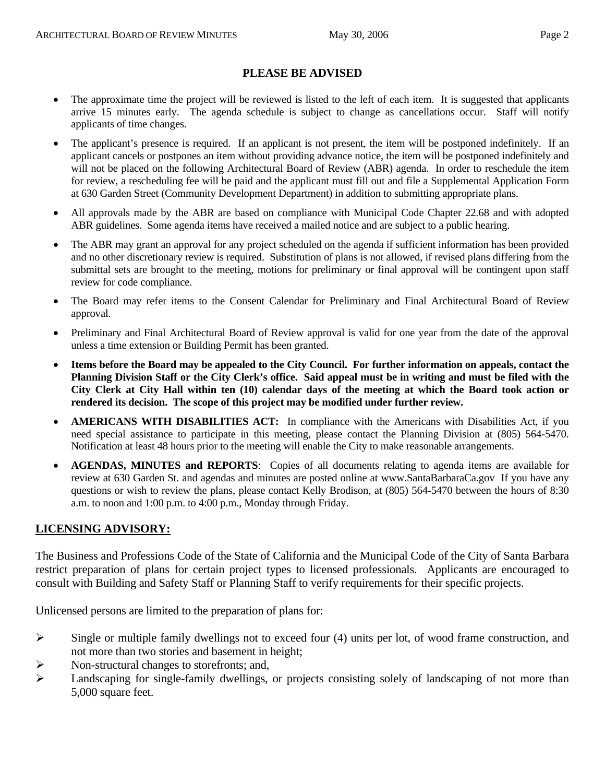## **PLEASE BE ADVISED**

- The approximate time the project will be reviewed is listed to the left of each item. It is suggested that applicants arrive 15 minutes early. The agenda schedule is subject to change as cancellations occur. Staff will notify applicants of time changes.
- The applicant's presence is required. If an applicant is not present, the item will be postponed indefinitely. If an applicant cancels or postpones an item without providing advance notice, the item will be postponed indefinitely and will not be placed on the following Architectural Board of Review (ABR) agenda. In order to reschedule the item for review, a rescheduling fee will be paid and the applicant must fill out and file a Supplemental Application Form at 630 Garden Street (Community Development Department) in addition to submitting appropriate plans.
- All approvals made by the ABR are based on compliance with Municipal Code Chapter 22.68 and with adopted ABR guidelines. Some agenda items have received a mailed notice and are subject to a public hearing.
- The ABR may grant an approval for any project scheduled on the agenda if sufficient information has been provided and no other discretionary review is required. Substitution of plans is not allowed, if revised plans differing from the submittal sets are brought to the meeting, motions for preliminary or final approval will be contingent upon staff review for code compliance.
- The Board may refer items to the Consent Calendar for Preliminary and Final Architectural Board of Review approval.
- Preliminary and Final Architectural Board of Review approval is valid for one year from the date of the approval unless a time extension or Building Permit has been granted.
- **Items before the Board may be appealed to the City Council. For further information on appeals, contact the Planning Division Staff or the City Clerk's office. Said appeal must be in writing and must be filed with the City Clerk at City Hall within ten (10) calendar days of the meeting at which the Board took action or rendered its decision. The scope of this project may be modified under further review.**
- **AMERICANS WITH DISABILITIES ACT:** In compliance with the Americans with Disabilities Act, if you need special assistance to participate in this meeting, please contact the Planning Division at (805) 564-5470. Notification at least 48 hours prior to the meeting will enable the City to make reasonable arrangements.
- **AGENDAS, MINUTES and REPORTS**: Copies of all documents relating to agenda items are available for review at 630 Garden St. and agendas and minutes are posted online at [www.SantaBarbaraCa.gov](http://www.santabarbaraca.gov/) If you have any questions or wish to review the plans, please contact Kelly Brodison, at (805) 564-5470 between the hours of 8:30 a.m. to noon and 1:00 p.m. to 4:00 p.m., Monday through Friday.

## **LICENSING ADVISORY:**

The Business and Professions Code of the State of California and the Municipal Code of the City of Santa Barbara restrict preparation of plans for certain project types to licensed professionals. Applicants are encouraged to consult with Building and Safety Staff or Planning Staff to verify requirements for their specific projects.

Unlicensed persons are limited to the preparation of plans for:

- $\triangleright$  Single or multiple family dwellings not to exceed four (4) units per lot, of wood frame construction, and not more than two stories and basement in height;
- ¾ Non-structural changes to storefronts; and,
- ¾ Landscaping for single-family dwellings, or projects consisting solely of landscaping of not more than 5,000 square feet.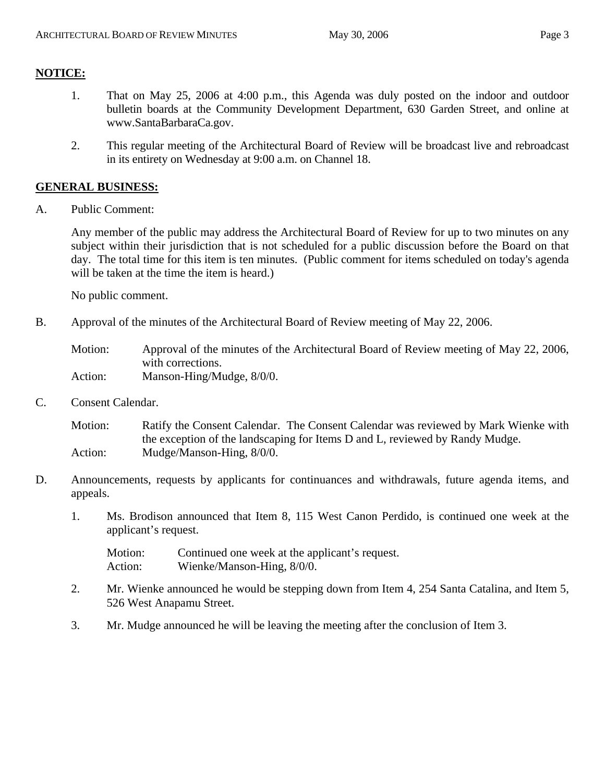# **NOTICE:**

- 1. That on May 25, 2006 at 4:00 p.m., this Agenda was duly posted on the indoor and outdoor bulletin boards at the Community Development Department, 630 Garden Street, and online at www.SantaBarbaraCa.gov.
- 2. This regular meeting of the Architectural Board of Review will be broadcast live and rebroadcast in its entirety on Wednesday at 9:00 a.m. on Channel 18.

## **GENERAL BUSINESS:**

A. Public Comment:

Any member of the public may address the Architectural Board of Review for up to two minutes on any subject within their jurisdiction that is not scheduled for a public discussion before the Board on that day. The total time for this item is ten minutes. (Public comment for items scheduled on today's agenda will be taken at the time the item is heard.)

No public comment.

B. Approval of the minutes of the Architectural Board of Review meeting of May 22, 2006.

Motion: Approval of the minutes of the Architectural Board of Review meeting of May 22, 2006, with corrections. Action: Manson-Hing/Mudge,  $8/0/0$ .

C. Consent Calendar.

Motion: Ratify the Consent Calendar. The Consent Calendar was reviewed by Mark Wienke with the exception of the landscaping for Items D and L, reviewed by Randy Mudge. Action: Mudge/Manson-Hing, 8/0/0.

- D. Announcements, requests by applicants for continuances and withdrawals, future agenda items, and appeals.
	- 1. Ms. Brodison announced that Item 8, 115 West Canon Perdido, is continued one week at the applicant's request.

Motion: Continued one week at the applicant's request. Action: Wienke/Manson-Hing,  $8/0/0$ .

- 2. Mr. Wienke announced he would be stepping down from Item 4, 254 Santa Catalina, and Item 5, 526 West Anapamu Street.
- 3. Mr. Mudge announced he will be leaving the meeting after the conclusion of Item 3.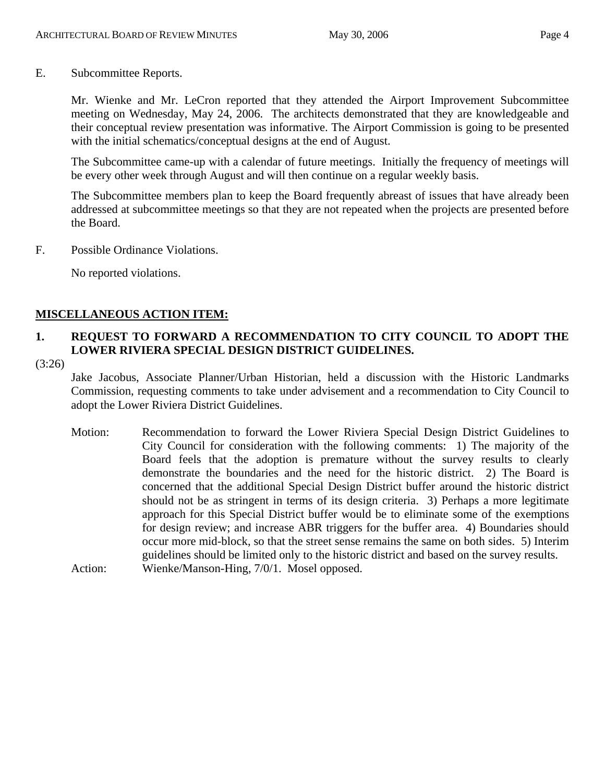E. Subcommittee Reports.

Mr. Wienke and Mr. LeCron reported that they attended the Airport Improvement Subcommittee meeting on Wednesday, May 24, 2006. The architects demonstrated that they are knowledgeable and their conceptual review presentation was informative. The Airport Commission is going to be presented with the initial schematics/conceptual designs at the end of August.

The Subcommittee came-up with a calendar of future meetings. Initially the frequency of meetings will be every other week through August and will then continue on a regular weekly basis.

The Subcommittee members plan to keep the Board frequently abreast of issues that have already been addressed at subcommittee meetings so that they are not repeated when the projects are presented before the Board.

F. Possible Ordinance Violations.

No reported violations.

## **MISCELLANEOUS ACTION ITEM:**

# **1. REQUEST TO FORWARD A RECOMMENDATION TO CITY COUNCIL TO ADOPT THE LOWER RIVIERA SPECIAL DESIGN DISTRICT GUIDELINES.**

(3:26)

Jake Jacobus, Associate Planner/Urban Historian, held a discussion with the Historic Landmarks Commission, requesting comments to take under advisement and a recommendation to City Council to adopt the Lower Riviera District Guidelines.

Motion: Recommendation to forward the Lower Riviera Special Design District Guidelines to City Council for consideration with the following comments: 1) The majority of the Board feels that the adoption is premature without the survey results to clearly demonstrate the boundaries and the need for the historic district. 2) The Board is concerned that the additional Special Design District buffer around the historic district should not be as stringent in terms of its design criteria. 3) Perhaps a more legitimate approach for this Special District buffer would be to eliminate some of the exemptions for design review; and increase ABR triggers for the buffer area. 4) Boundaries should occur more mid-block, so that the street sense remains the same on both sides. 5) Interim guidelines should be limited only to the historic district and based on the survey results. Action: Wienke/Manson-Hing, 7/0/1. Mosel opposed.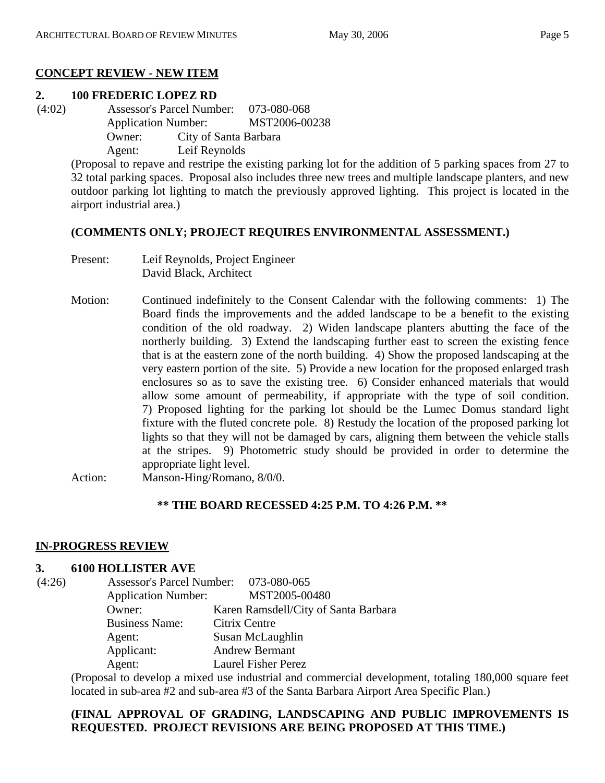## **CONCEPT REVIEW - NEW ITEM**

## **2. 100 FREDERIC LOPEZ RD**

 (4:02) Assessor's Parcel Number: 073-080-068 Application Number: MST2006-00238 Owner: City of Santa Barbara Agent: Leif Reynolds

(Proposal to repave and restripe the existing parking lot for the addition of 5 parking spaces from 27 to 32 total parking spaces. Proposal also includes three new trees and multiple landscape planters, and new outdoor parking lot lighting to match the previously approved lighting. This project is located in the airport industrial area.)

#### **(COMMENTS ONLY; PROJECT REQUIRES ENVIRONMENTAL ASSESSMENT.)**

- Present: Leif Reynolds, Project Engineer David Black, Architect
- Motion: Continued indefinitely to the Consent Calendar with the following comments: 1) The Board finds the improvements and the added landscape to be a benefit to the existing condition of the old roadway. 2) Widen landscape planters abutting the face of the northerly building. 3) Extend the landscaping further east to screen the existing fence that is at the eastern zone of the north building. 4) Show the proposed landscaping at the very eastern portion of the site. 5) Provide a new location for the proposed enlarged trash enclosures so as to save the existing tree. 6) Consider enhanced materials that would allow some amount of permeability, if appropriate with the type of soil condition. 7) Proposed lighting for the parking lot should be the Lumec Domus standard light fixture with the fluted concrete pole. 8) Restudy the location of the proposed parking lot lights so that they will not be damaged by cars, aligning them between the vehicle stalls at the stripes. 9) Photometric study should be provided in order to determine the appropriate light level.

Action: Manson-Hing/Romano, 8/0/0.

#### **\*\* THE BOARD RECESSED 4:25 P.M. TO 4:26 P.M. \*\***

## **IN-PROGRESS REVIEW**

#### **3. 6100 HOLLISTER AVE**

| (4:26) | Assessor's Parcel Number: 073-080-065 |                                      |
|--------|---------------------------------------|--------------------------------------|
|        | <b>Application Number:</b>            | MST2005-00480                        |
|        | Owner:                                | Karen Ramsdell/City of Santa Barbara |
|        | <b>Business Name:</b>                 | Citrix Centre                        |
|        | Agent:                                | Susan McLaughlin                     |
|        | Applicant:                            | <b>Andrew Bermant</b>                |
|        | Agent:                                | <b>Laurel Fisher Perez</b>           |

(Proposal to develop a mixed use industrial and commercial development, totaling 180,000 square feet located in sub-area #2 and sub-area #3 of the Santa Barbara Airport Area Specific Plan.)

## **(FINAL APPROVAL OF GRADING, LANDSCAPING AND PUBLIC IMPROVEMENTS IS REQUESTED. PROJECT REVISIONS ARE BEING PROPOSED AT THIS TIME.)**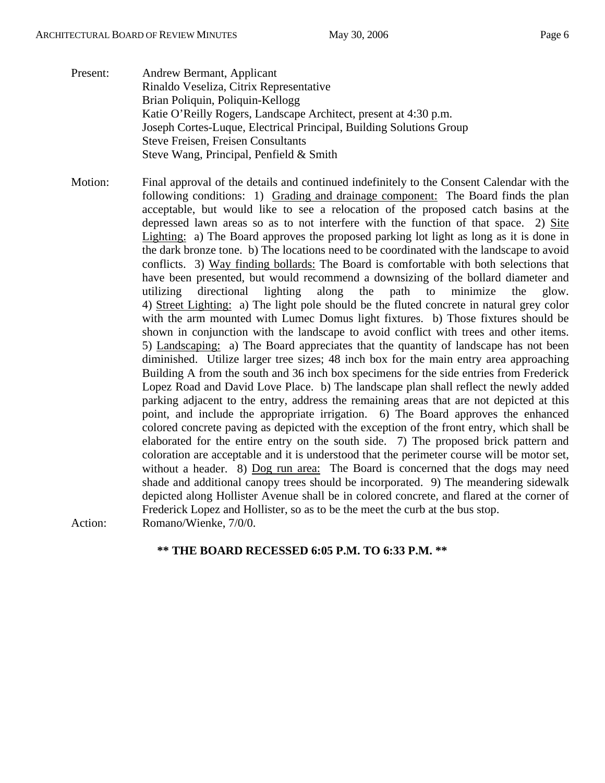- Present: Andrew Bermant, Applicant Rinaldo Veseliza, Citrix Representative Brian Poliquin, Poliquin-Kellogg Katie O'Reilly Rogers, Landscape Architect, present at 4:30 p.m. Joseph Cortes-Luque, Electrical Principal, Building Solutions Group Steve Freisen, Freisen Consultants Steve Wang, Principal, Penfield & Smith
- Motion: Final approval of the details and continued indefinitely to the Consent Calendar with the following conditions: 1) Grading and drainage component: The Board finds the plan acceptable, but would like to see a relocation of the proposed catch basins at the depressed lawn areas so as to not interfere with the function of that space. 2) Site Lighting: a) The Board approves the proposed parking lot light as long as it is done in the dark bronze tone. b) The locations need to be coordinated with the landscape to avoid conflicts. 3) Way finding bollards: The Board is comfortable with both selections that have been presented, but would recommend a downsizing of the bollard diameter and utilizing directional lighting along the path to minimize the glow. 4) Street Lighting: a) The light pole should be the fluted concrete in natural grey color with the arm mounted with Lumec Domus light fixtures. b) Those fixtures should be shown in conjunction with the landscape to avoid conflict with trees and other items. 5) Landscaping: a) The Board appreciates that the quantity of landscape has not been diminished. Utilize larger tree sizes; 48 inch box for the main entry area approaching Building A from the south and 36 inch box specimens for the side entries from Frederick Lopez Road and David Love Place. b) The landscape plan shall reflect the newly added parking adjacent to the entry, address the remaining areas that are not depicted at this point, and include the appropriate irrigation. 6) The Board approves the enhanced colored concrete paving as depicted with the exception of the front entry, which shall be elaborated for the entire entry on the south side. 7) The proposed brick pattern and coloration are acceptable and it is understood that the perimeter course will be motor set, without a header. 8) Dog run area: The Board is concerned that the dogs may need shade and additional canopy trees should be incorporated. 9) The meandering sidewalk depicted along Hollister Avenue shall be in colored concrete, and flared at the corner of Frederick Lopez and Hollister, so as to be the meet the curb at the bus stop. Action: Romano/Wienke,  $7/0/0$ .

## **\*\* THE BOARD RECESSED 6:05 P.M. TO 6:33 P.M. \*\***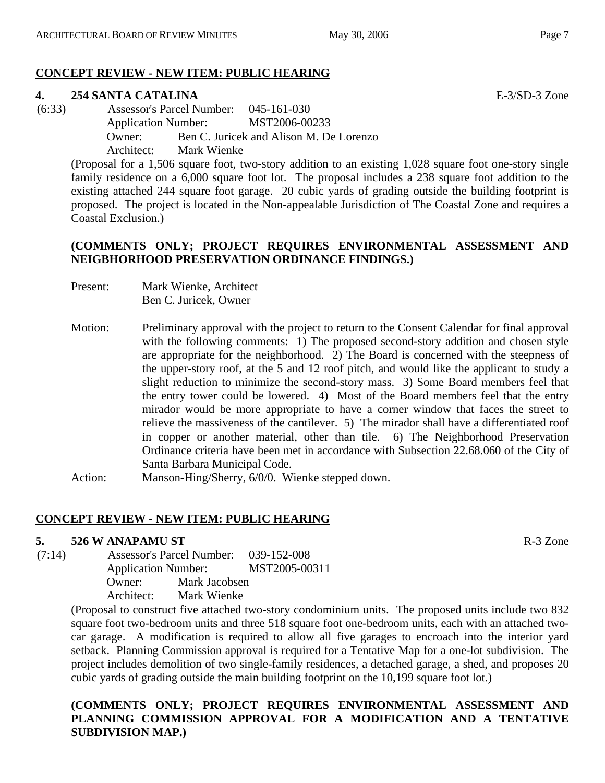## **CONCEPT REVIEW - NEW ITEM: PUBLIC HEARING**

#### **4. 254 SANTA CATALINA** E-3/SD-3 Zone

 (6:33) Assessor's Parcel Number: 045-161-030 Application Number: MST2006-00233 Owner: Ben C. Juricek and Alison M. De Lorenzo Architect: Mark Wienke

(Proposal for a 1,506 square foot, two-story addition to an existing 1,028 square foot one-story single family residence on a 6,000 square foot lot. The proposal includes a 238 square foot addition to the existing attached 244 square foot garage. 20 cubic yards of grading outside the building footprint is proposed. The project is located in the Non-appealable Jurisdiction of The Coastal Zone and requires a Coastal Exclusion.)

### **(COMMENTS ONLY; PROJECT REQUIRES ENVIRONMENTAL ASSESSMENT AND NEIGBHORHOOD PRESERVATION ORDINANCE FINDINGS.)**

- Present: Mark Wienke, Architect Ben C. Juricek, Owner
- Motion: Preliminary approval with the project to return to the Consent Calendar for final approval with the following comments: 1) The proposed second-story addition and chosen style are appropriate for the neighborhood. 2) The Board is concerned with the steepness of the upper-story roof, at the 5 and 12 roof pitch, and would like the applicant to study a slight reduction to minimize the second-story mass. 3) Some Board members feel that the entry tower could be lowered. 4) Most of the Board members feel that the entry mirador would be more appropriate to have a corner window that faces the street to relieve the massiveness of the cantilever. 5) The mirador shall have a differentiated roof in copper or another material, other than tile. 6) The Neighborhood Preservation Ordinance criteria have been met in accordance with Subsection 22.68.060 of the City of Santa Barbara Municipal Code.
- Action: Manson-Hing/Sherry, 6/0/0. Wienke stepped down.

#### **CONCEPT REVIEW - NEW ITEM: PUBLIC HEARING**

#### **5. 526 W ANAPAMU ST** R-3 Zone

 (7:14) Assessor's Parcel Number: 039-152-008 Application Number: MST2005-00311 Owner: Mark Jacobsen Architect: Mark Wienke

> (Proposal to construct five attached two-story condominium units. The proposed units include two 832 square foot two-bedroom units and three 518 square foot one-bedroom units, each with an attached twocar garage. A modification is required to allow all five garages to encroach into the interior yard setback. Planning Commission approval is required for a Tentative Map for a one-lot subdivision. The project includes demolition of two single-family residences, a detached garage, a shed, and proposes 20 cubic yards of grading outside the main building footprint on the 10,199 square foot lot.)

## **(COMMENTS ONLY; PROJECT REQUIRES ENVIRONMENTAL ASSESSMENT AND PLANNING COMMISSION APPROVAL FOR A MODIFICATION AND A TENTATIVE SUBDIVISION MAP.)**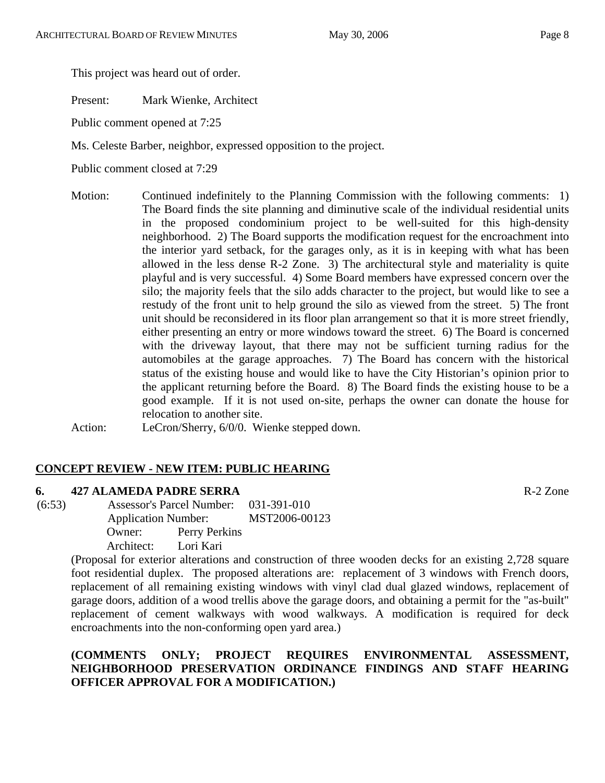This project was heard out of order.

Present: Mark Wienke, Architect

Public comment opened at 7:25

Ms. Celeste Barber, neighbor, expressed opposition to the project.

Public comment closed at 7:29

Motion: Continued indefinitely to the Planning Commission with the following comments: 1) The Board finds the site planning and diminutive scale of the individual residential units in the proposed condominium project to be well-suited for this high-density neighborhood. 2) The Board supports the modification request for the encroachment into the interior yard setback, for the garages only, as it is in keeping with what has been allowed in the less dense R-2 Zone. 3) The architectural style and materiality is quite playful and is very successful. 4) Some Board members have expressed concern over the silo; the majority feels that the silo adds character to the project, but would like to see a restudy of the front unit to help ground the silo as viewed from the street. 5) The front unit should be reconsidered in its floor plan arrangement so that it is more street friendly, either presenting an entry or more windows toward the street. 6) The Board is concerned with the driveway layout, that there may not be sufficient turning radius for the automobiles at the garage approaches. 7) The Board has concern with the historical status of the existing house and would like to have the City Historian's opinion prior to the applicant returning before the Board. 8) The Board finds the existing house to be a good example. If it is not used on-site, perhaps the owner can donate the house for relocation to another site.

Action: LeCron/Sherry, 6/0/0. Wienke stepped down.

## **CONCEPT REVIEW - NEW ITEM: PUBLIC HEARING**

#### **6. 427 ALAMEDA PADRE SERRA** R-2 Zone

 (6:53) Assessor's Parcel Number: 031-391-010 Application Number: MST2006-00123 Owner: Perry Perkins Architect: Lori Kari

> (Proposal for exterior alterations and construction of three wooden decks for an existing 2,728 square foot residential duplex. The proposed alterations are: replacement of 3 windows with French doors, replacement of all remaining existing windows with vinyl clad dual glazed windows, replacement of garage doors, addition of a wood trellis above the garage doors, and obtaining a permit for the "as-built" replacement of cement walkways with wood walkways. A modification is required for deck encroachments into the non-conforming open yard area.)

## **(COMMENTS ONLY; PROJECT REQUIRES ENVIRONMENTAL ASSESSMENT, NEIGHBORHOOD PRESERVATION ORDINANCE FINDINGS AND STAFF HEARING OFFICER APPROVAL FOR A MODIFICATION.)**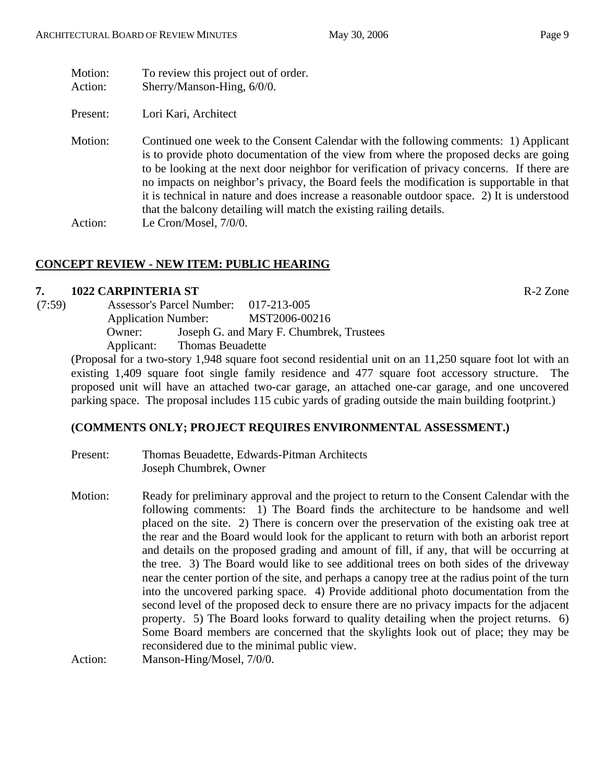| Motion:<br>Action: | To review this project out of order.<br>Sherry/Manson-Hing, 6/0/0.                                                                                                                                                                                                                                                                                                                                                                                                                                                                             |
|--------------------|------------------------------------------------------------------------------------------------------------------------------------------------------------------------------------------------------------------------------------------------------------------------------------------------------------------------------------------------------------------------------------------------------------------------------------------------------------------------------------------------------------------------------------------------|
| Present:           | Lori Kari, Architect                                                                                                                                                                                                                                                                                                                                                                                                                                                                                                                           |
| Motion:            | Continued one week to the Consent Calendar with the following comments: 1) Applicant<br>is to provide photo documentation of the view from where the proposed decks are going<br>to be looking at the next door neighbor for verification of privacy concerns. If there are<br>no impacts on neighbor's privacy, the Board feels the modification is supportable in that<br>it is technical in nature and does increase a reasonable outdoor space. 2) It is understood<br>that the balcony detailing will match the existing railing details. |
| Action:            | Le Cron/Mosel, $7/0/0$ .                                                                                                                                                                                                                                                                                                                                                                                                                                                                                                                       |

# **CONCEPT REVIEW - NEW ITEM: PUBLIC HEARING**

# **7. 1022 CARPINTERIA ST** R-2 Zone

| (7:59) |                            | <b>Assessor's Parcel Number:</b> | 017-213-005                              |  |
|--------|----------------------------|----------------------------------|------------------------------------------|--|
|        | <b>Application Number:</b> |                                  | MST2006-00216                            |  |
|        | Owner:                     |                                  | Joseph G. and Mary F. Chumbrek, Trustees |  |
|        | Applicant:                 | Thomas Beuadette                 |                                          |  |
|        |                            |                                  |                                          |  |

(Proposal for a two-story 1,948 square foot second residential unit on an 11,250 square foot lot with an existing 1,409 square foot single family residence and 477 square foot accessory structure. The proposed unit will have an attached two-car garage, an attached one-car garage, and one uncovered parking space. The proposal includes 115 cubic yards of grading outside the main building footprint.)

# **(COMMENTS ONLY; PROJECT REQUIRES ENVIRONMENTAL ASSESSMENT.)**

- Present: Thomas Beuadette, Edwards-Pitman Architects Joseph Chumbrek, Owner
- Motion: Ready for preliminary approval and the project to return to the Consent Calendar with the following comments: 1) The Board finds the architecture to be handsome and well placed on the site. 2) There is concern over the preservation of the existing oak tree at the rear and the Board would look for the applicant to return with both an arborist report and details on the proposed grading and amount of fill, if any, that will be occurring at the tree. 3) The Board would like to see additional trees on both sides of the driveway near the center portion of the site, and perhaps a canopy tree at the radius point of the turn into the uncovered parking space. 4) Provide additional photo documentation from the second level of the proposed deck to ensure there are no privacy impacts for the adjacent property. 5) The Board looks forward to quality detailing when the project returns. 6) Some Board members are concerned that the skylights look out of place; they may be reconsidered due to the minimal public view.

Action: Manson-Hing/Mosel, 7/0/0.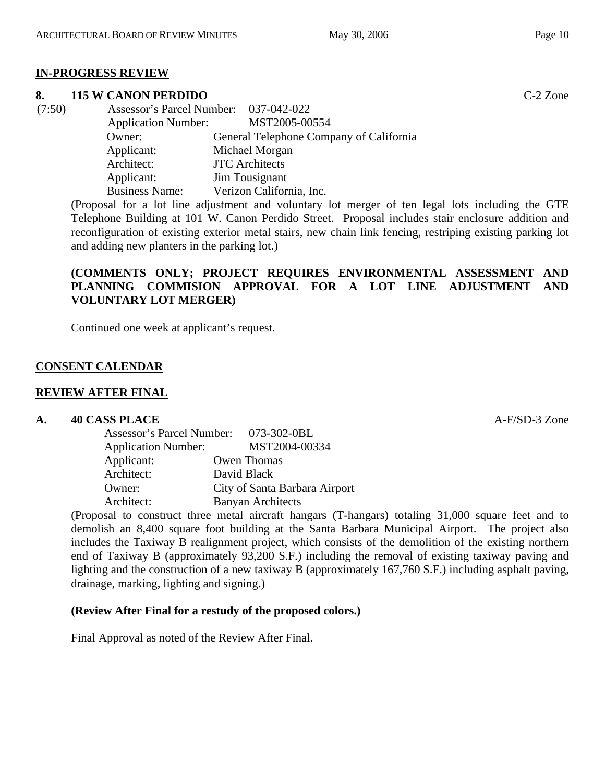## **IN-PROGRESS REVIEW**

#### **8. 115 W CANON PERDIDO** C-2 Zone

| (7:50) | Assessor's Parcel Number: 037-042-022 |                                         |
|--------|---------------------------------------|-----------------------------------------|
|        | <b>Application Number:</b>            | MST2005-00554                           |
|        | Owner:                                | General Telephone Company of California |
|        | Applicant:                            | Michael Morgan                          |
|        | Architect:                            | <b>JTC</b> Architects                   |
|        | Applicant:                            | Jim Tousignant                          |
|        | <b>Business Name:</b>                 | Verizon California, Inc.                |

(Proposal for a lot line adjustment and voluntary lot merger of ten legal lots including the GTE Telephone Building at 101 W. Canon Perdido Street. Proposal includes stair enclosure addition and reconfiguration of existing exterior metal stairs, new chain link fencing, restriping existing parking lot and adding new planters in the parking lot.)

## **(COMMENTS ONLY; PROJECT REQUIRES ENVIRONMENTAL ASSESSMENT AND PLANNING COMMISION APPROVAL FOR A LOT LINE ADJUSTMENT AND VOLUNTARY LOT MERGER)**

Continued one week at applicant's request.

## **CONSENT CALENDAR**

#### **REVIEW AFTER FINAL**

#### **A. 40 CASS PLACE A-F/SD-3** Zone

| Assessor's Parcel Number: 073-302-0BL |                               |
|---------------------------------------|-------------------------------|
| <b>Application Number:</b>            | MST2004-00334                 |
| Applicant:                            | Owen Thomas                   |
| Architect:                            | David Black                   |
| Owner:                                | City of Santa Barbara Airport |
| Architect:                            | <b>Banyan Architects</b>      |

(Proposal to construct three metal aircraft hangars (T-hangars) totaling 31,000 square feet and to demolish an 8,400 square foot building at the Santa Barbara Municipal Airport. The project also includes the Taxiway B realignment project, which consists of the demolition of the existing northern end of Taxiway B (approximately 93,200 S.F.) including the removal of existing taxiway paving and lighting and the construction of a new taxiway B (approximately 167,760 S.F.) including asphalt paving, drainage, marking, lighting and signing.)

#### **(Review After Final for a restudy of the proposed colors.)**

Final Approval as noted of the Review After Final.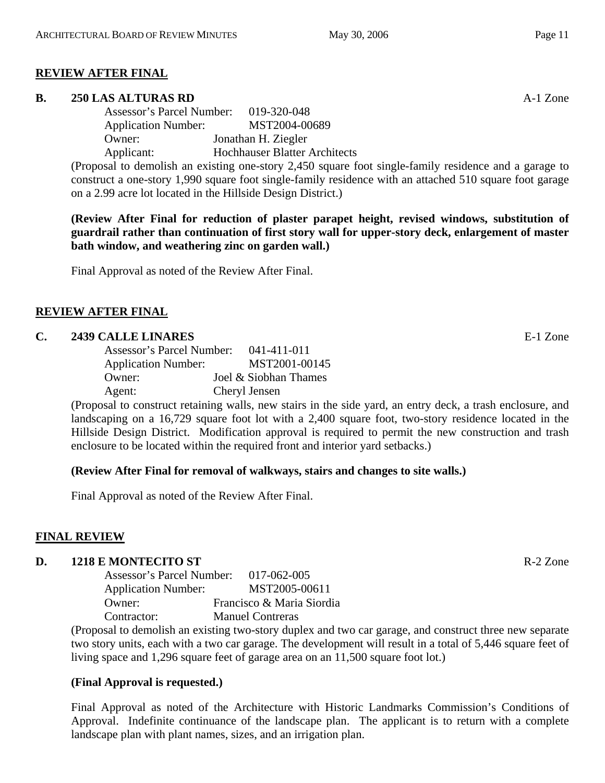#### **REVIEW AFTER FINAL**

#### **B. 250 LAS ALTURAS RD** A-1 Zone

Assessor's Parcel Number: 019-320-048 Application Number: MST2004-00689 Owner: Jonathan H. Ziegler Applicant: Hochhauser Blatter Architects

(Proposal to demolish an existing one-story 2,450 square foot single-family residence and a garage to construct a one-story 1,990 square foot single-family residence with an attached 510 square foot garage on a 2.99 acre lot located in the Hillside Design District.)

**(Review After Final for reduction of plaster parapet height, revised windows, substitution of guardrail rather than continuation of first story wall for upper-story deck, enlargement of master bath window, and weathering zinc on garden wall.)** 

Final Approval as noted of the Review After Final.

#### **REVIEW AFTER FINAL**

#### **C. 2439 CALLE LINARES** E-1 Zone

| Assessor's Parcel Number:  | 041-411-011           |
|----------------------------|-----------------------|
| <b>Application Number:</b> | MST2001-00145         |
| Owner:                     | Joel & Siobhan Thames |
| Agent:                     | Cheryl Jensen         |

(Proposal to construct retaining walls, new stairs in the side yard, an entry deck, a trash enclosure, and landscaping on a 16,729 square foot lot with a 2,400 square foot, two-story residence located in the Hillside Design District. Modification approval is required to permit the new construction and trash enclosure to be located within the required front and interior yard setbacks.)

#### **(Review After Final for removal of walkways, stairs and changes to site walls.)**

Final Approval as noted of the Review After Final.

#### **FINAL REVIEW**

#### **D. 1218 E MONTECITO ST** R-2 Zone

| Assessor's Parcel Number:  | 017-062-005               |
|----------------------------|---------------------------|
| <b>Application Number:</b> | MST2005-00611             |
| Owner:                     | Francisco & Maria Siordia |
| Contractor:                | <b>Manuel Contreras</b>   |

(Proposal to demolish an existing two-story duplex and two car garage, and construct three new separate two story units, each with a two car garage. The development will result in a total of 5,446 square feet of living space and 1,296 square feet of garage area on an 11,500 square foot lot.)

#### **(Final Approval is requested.)**

Final Approval as noted of the Architecture with Historic Landmarks Commission's Conditions of Approval. Indefinite continuance of the landscape plan. The applicant is to return with a complete landscape plan with plant names, sizes, and an irrigation plan.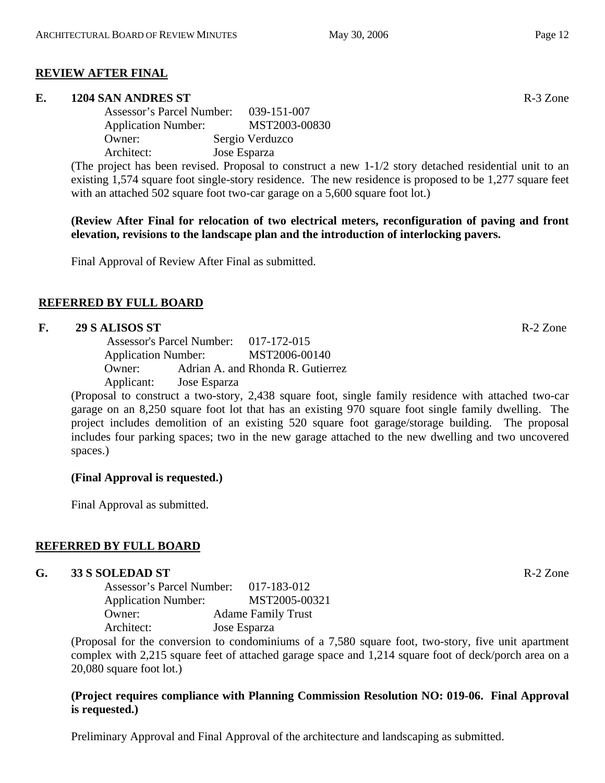## **REVIEW AFTER FINAL**

#### **E. 1204 SAN ANDRES ST** R-3 Zone

Assessor's Parcel Number: 039-151-007 Application Number: MST2003-00830 Owner: Sergio Verduzco Architect: Jose Esparza

(The project has been revised. Proposal to construct a new 1-1/2 story detached residential unit to an existing 1,574 square foot single-story residence. The new residence is proposed to be 1,277 square feet with an attached 502 square foot two-car garage on a 5,600 square foot lot.)

**(Review After Final for relocation of two electrical meters, reconfiguration of paving and front elevation, revisions to the landscape plan and the introduction of interlocking pavers.** 

Final Approval of Review After Final as submitted.

## **REFERRED BY FULL BOARD**

#### **F. 29 S ALISOS ST** R-2 Zone

 Assessor's Parcel Number: 017-172-015 Application Number: MST2006-00140 Owner: Adrian A. and Rhonda R. Gutierrez Applicant: Jose Esparza

(Proposal to construct a two-story, 2,438 square foot, single family residence with attached two-car garage on an 8,250 square foot lot that has an existing 970 square foot single family dwelling. The project includes demolition of an existing 520 square foot garage/storage building. The proposal includes four parking spaces; two in the new garage attached to the new dwelling and two uncovered spaces.)

#### **(Final Approval is requested.)**

Final Approval as submitted.

#### **REFERRED BY FULL BOARD**

#### **G. 33 S SOLEDAD ST** R-2 Zone

Assessor's Parcel Number: 017-183-012 Application Number: MST2005-00321 Owner: Adame Family Trust Architect: Jose Esparza

(Proposal for the conversion to condominiums of a 7,580 square foot, two-story, five unit apartment complex with 2,215 square feet of attached garage space and 1,214 square foot of deck/porch area on a 20,080 square foot lot.)

## **(Project requires compliance with Planning Commission Resolution NO: 019-06. Final Approval is requested.)**

Preliminary Approval and Final Approval of the architecture and landscaping as submitted.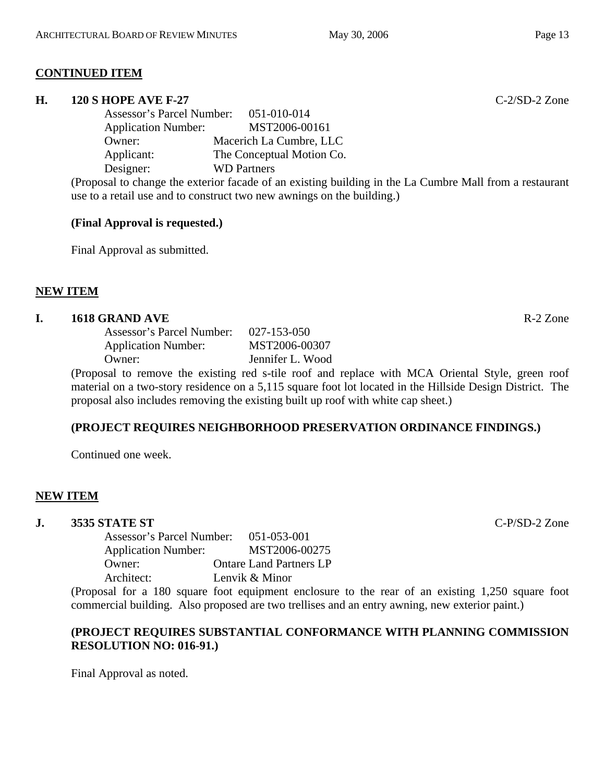## **CONTINUED ITEM**

#### **H. 120 S HOPE AVE F-27** C-2/SD-2 Zone

Assessor's Parcel Number: 051-010-014 Application Number: MST2006-00161 Owner: Macerich La Cumbre, LLC Applicant: The Conceptual Motion Co. Designer: WD Partners

(Proposal to change the exterior facade of an existing building in the La Cumbre Mall from a restaurant use to a retail use and to construct two new awnings on the building.)

#### **(Final Approval is requested.)**

Final Approval as submitted.

## **NEW ITEM**

#### **I. 1618 GRAND AVE** R-2 Zone

Assessor's Parcel Number: 027-153-050 Application Number: MST2006-00307 Owner: Jennifer L. Wood

(Proposal to remove the existing red s-tile roof and replace with MCA Oriental Style, green roof material on a two-story residence on a 5,115 square foot lot located in the Hillside Design District. The proposal also includes removing the existing built up roof with white cap sheet.)

## **(PROJECT REQUIRES NEIGHBORHOOD PRESERVATION ORDINANCE FINDINGS.)**

Continued one week.

## **NEW ITEM**

# **J. 3535 STATE ST** C-P/SD-2 Zone

Assessor's Parcel Number: 051-053-001 Application Number: MST2006-00275 Owner: Ontare Land Partners LP Architect: Lenvik & Minor

(Proposal for a 180 square foot equipment enclosure to the rear of an existing 1,250 square foot commercial building. Also proposed are two trellises and an entry awning, new exterior paint.)

## **(PROJECT REQUIRES SUBSTANTIAL CONFORMANCE WITH PLANNING COMMISSION RESOLUTION NO: 016-91.)**

Final Approval as noted.